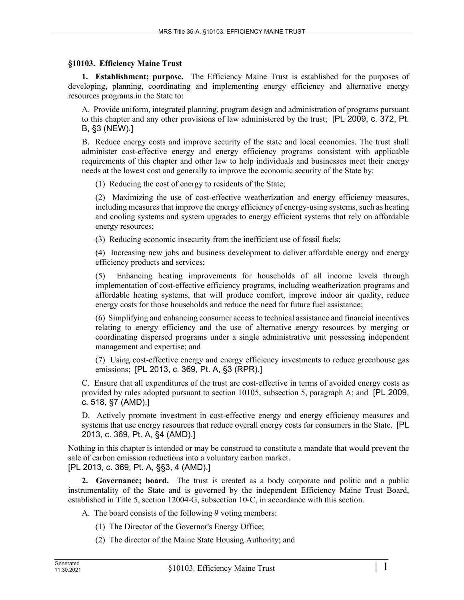## **§10103. Efficiency Maine Trust**

**1. Establishment; purpose.** The Efficiency Maine Trust is established for the purposes of developing, planning, coordinating and implementing energy efficiency and alternative energy resources programs in the State to:

A. Provide uniform, integrated planning, program design and administration of programs pursuant to this chapter and any other provisions of law administered by the trust; [PL 2009, c. 372, Pt. B, §3 (NEW).]

B. Reduce energy costs and improve security of the state and local economies. The trust shall administer cost-effective energy and energy efficiency programs consistent with applicable requirements of this chapter and other law to help individuals and businesses meet their energy needs at the lowest cost and generally to improve the economic security of the State by:

(1) Reducing the cost of energy to residents of the State;

(2) Maximizing the use of cost-effective weatherization and energy efficiency measures, including measures that improve the energy efficiency of energy-using systems, such as heating and cooling systems and system upgrades to energy efficient systems that rely on affordable energy resources;

(3) Reducing economic insecurity from the inefficient use of fossil fuels;

(4) Increasing new jobs and business development to deliver affordable energy and energy efficiency products and services;

(5) Enhancing heating improvements for households of all income levels through implementation of cost-effective efficiency programs, including weatherization programs and affordable heating systems, that will produce comfort, improve indoor air quality, reduce energy costs for those households and reduce the need for future fuel assistance;

(6) Simplifying and enhancing consumer access to technical assistance and financial incentives relating to energy efficiency and the use of alternative energy resources by merging or coordinating dispersed programs under a single administrative unit possessing independent management and expertise; and

(7) Using cost-effective energy and energy efficiency investments to reduce greenhouse gas emissions; [PL 2013, c. 369, Pt. A, §3 (RPR).]

C. Ensure that all expenditures of the trust are cost-effective in terms of avoided energy costs as provided by rules adopted pursuant to section 10105, subsection 5, paragraph A; and [PL 2009, c. 518, §7 (AMD).]

D. Actively promote investment in cost-effective energy and energy efficiency measures and systems that use energy resources that reduce overall energy costs for consumers in the State. [PL 2013, c. 369, Pt. A, §4 (AMD).]

Nothing in this chapter is intended or may be construed to constitute a mandate that would prevent the sale of carbon emission reductions into a voluntary carbon market. [PL 2013, c. 369, Pt. A, §§3, 4 (AMD).]

**2. Governance; board.** The trust is created as a body corporate and politic and a public instrumentality of the State and is governed by the independent Efficiency Maine Trust Board, established in Title 5, section 12004‑G, subsection 10‑C, in accordance with this section.

A. The board consists of the following 9 voting members:

- (1) The Director of the Governor's Energy Office;
- (2) The director of the Maine State Housing Authority; and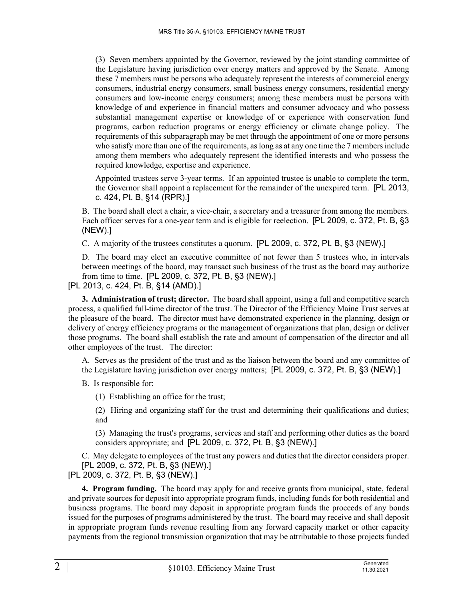(3) Seven members appointed by the Governor, reviewed by the joint standing committee of the Legislature having jurisdiction over energy matters and approved by the Senate. Among these 7 members must be persons who adequately represent the interests of commercial energy consumers, industrial energy consumers, small business energy consumers, residential energy consumers and low-income energy consumers; among these members must be persons with knowledge of and experience in financial matters and consumer advocacy and who possess substantial management expertise or knowledge of or experience with conservation fund programs, carbon reduction programs or energy efficiency or climate change policy. The requirements of this subparagraph may be met through the appointment of one or more persons who satisfy more than one of the requirements, as long as at any one time the 7 members include among them members who adequately represent the identified interests and who possess the required knowledge, expertise and experience.

Appointed trustees serve 3-year terms. If an appointed trustee is unable to complete the term, the Governor shall appoint a replacement for the remainder of the unexpired term. [PL 2013, c. 424, Pt. B, §14 (RPR).]

B. The board shall elect a chair, a vice-chair, a secretary and a treasurer from among the members. Each officer serves for a one-year term and is eligible for reelection. [PL 2009, c. 372, Pt. B, §3 (NEW).]

C. A majority of the trustees constitutes a quorum. [PL 2009, c. 372, Pt. B, §3 (NEW).]

D. The board may elect an executive committee of not fewer than 5 trustees who, in intervals between meetings of the board, may transact such business of the trust as the board may authorize from time to time. [PL 2009, c. 372, Pt. B, §3 (NEW).]

## [PL 2013, c. 424, Pt. B, §14 (AMD).]

**3. Administration of trust; director.** The board shall appoint, using a full and competitive search process, a qualified full-time director of the trust. The Director of the Efficiency Maine Trust serves at the pleasure of the board. The director must have demonstrated experience in the planning, design or delivery of energy efficiency programs or the management of organizations that plan, design or deliver those programs. The board shall establish the rate and amount of compensation of the director and all other employees of the trust. The director:

A. Serves as the president of the trust and as the liaison between the board and any committee of the Legislature having jurisdiction over energy matters; [PL 2009, c. 372, Pt. B, §3 (NEW).]

B. Is responsible for:

(1) Establishing an office for the trust;

(2) Hiring and organizing staff for the trust and determining their qualifications and duties; and

(3) Managing the trust's programs, services and staff and performing other duties as the board considers appropriate; and [PL 2009, c. 372, Pt. B, §3 (NEW).]

C. May delegate to employees of the trust any powers and duties that the director considers proper. [PL 2009, c. 372, Pt. B, §3 (NEW).]

[PL 2009, c. 372, Pt. B, §3 (NEW).]

**4. Program funding.** The board may apply for and receive grants from municipal, state, federal and private sources for deposit into appropriate program funds, including funds for both residential and business programs. The board may deposit in appropriate program funds the proceeds of any bonds issued for the purposes of programs administered by the trust. The board may receive and shall deposit in appropriate program funds revenue resulting from any forward capacity market or other capacity payments from the regional transmission organization that may be attributable to those projects funded